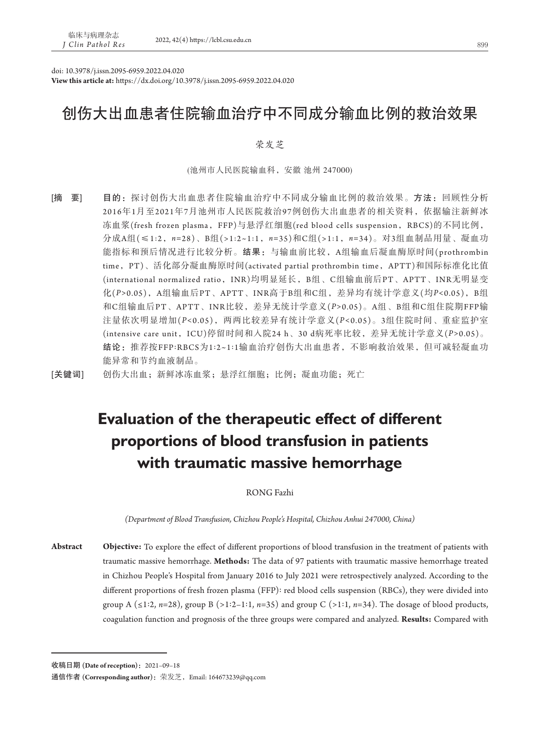doi: 10.3978/j.issn.2095-6959.2022.04.020

**View this article at:** https://dx.doi.org/10.3978/j.issn.2095-6959.2022.04.020

# 创伤大出血患者住院输血治疗中不同成分输血比例的救治效果

## 荣发芝

(池州市人民医院输血科,安徽 池州 247000)

[摘 要] 目的: 探讨创伤大出血患者住院输血治疗中不同成分输血比例的救治效果。方法:回顾性分析 2016年1月至2021年7月池州市人民医院救治97例创伤大出血患者的相关资料,依据输注新鲜冰 冻血浆(fresh frozen plasma, FFP)与悬浮红细胞(red blood cells suspension, RBCS)的不同比例, 分成A组(≤1:2,*n=*28)、B组(>1:2~1:1,*n=*35)和C组(>1:1,*n=*34)。对3组血制品用量、凝血功 能指标和预后情况进行比较分析。结果: 与输血前比较, A组输血后凝血酶原时间(prothrombin time,PT)、活化部分凝血酶原时间(activated partial prothrombin time,APTT)和国际标准化比值 (international normalized ratio, INR)均明显延长, B组、C组输血前后PT、APTT、INR无明显变 化(*P>*0.05),A组输血后PT、APTT、INR高于B组和C组,差异均有统计学意义(均*P<*0.05),B组 和C组输血后PT、APTT、INR比较,差异无统计学意义(*P>*0.05)。A组、B组和C组住院期FFP输 注量依次明显增加(*P<*0.05),两两比较差异有统计学意义(*P<*0.05)。3组住院时间、重症监护室 (intensive care unit,ICU)停留时间和入院24 h、30 d病死率比较,差异无统计学意义(*P>*0.05)。 结论:推荐按FFP:RBCS为1:2~1:1输血治疗创伤大出血患者,不影响救治效果,但可减轻凝血功 能异常和节约血液制品。

[关键词] 创伤大出血;新鲜冰冻血浆;悬浮红细胞;比例;凝血功能;死亡

# **Evaluation of the therapeutic effect of different proportions of blood transfusion in patients with traumatic massive hemorrhage**

RONG Fazhi

*(Department of Blood Transfusion, Chizhou People's Hospital, Chizhou Anhui 247000, China)*

**Abstract Objective:** To explore the effect of different proportions of blood transfusion in the treatment of patients with traumatic massive hemorrhage. **Methods:** The data of 97 patients with traumatic massive hemorrhage treated in Chizhou People's Hospital from January 2016 to July 2021 were retrospectively analyzed. According to the different proportions of fresh frozen plasma (FFP): red blood cells suspension (RBCs), they were divided into group A ( $\leq$ 1:2, *n*=28), group B ( $>$ 1:2–1:1, *n*=35) and group C ( $>$ 1:1, *n*=34). The dosage of blood products, coagulation function and prognosis of the three groups were compared and analyzed. **Results:** Compared with

收稿日期 **(Date of reception)**:2021–09–18

通信作者 **(Corresponding author)**:荣发芝,Email: 164673239@qq.com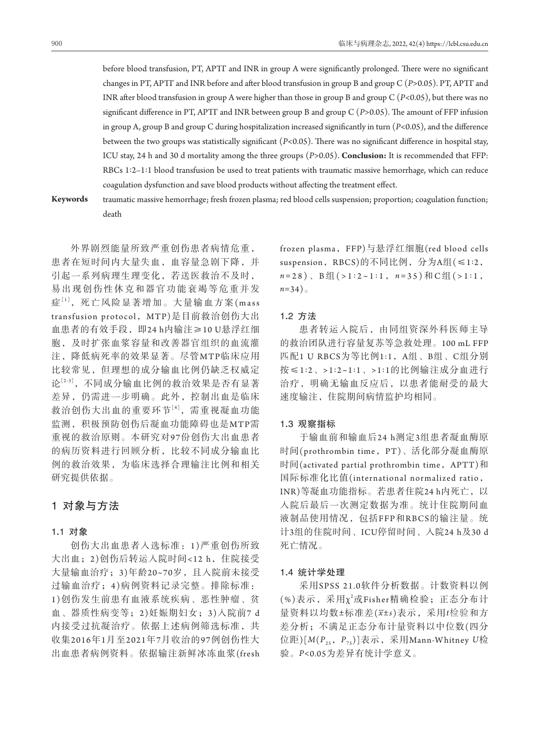before blood transfusion, PT, APTT and INR in group A were significantly prolonged. There were no significant changes in PT, APTT and INR before and after blood transfusion in group B and group C (*P>*0.05). PT, APTT and INR after blood transfusion in group A were higher than those in group B and group C (*P<*0.05), but there was no significant difference in PT, APTT and INR between group B and group C (*P>*0.05). The amount of FFP infusion in group A, group B and group C during hospitalization increased significantly in turn (*P<*0.05), and the difference between the two groups was statistically significant (*P<*0.05). There was no significant difference in hospital stay, ICU stay, 24 h and 30 d mortality among the three groups (*P>*0.05). **Conclusion:** It is recommended that FFP: RBCs 1:2–1:1 blood transfusion be used to treat patients with traumatic massive hemorrhage, which can reduce coagulation dysfunction and save blood products without affecting the treatment effect.

**Keywords** traumatic massive hemorrhage; fresh frozen plasma; red blood cells suspension; proportion; coagulation function; death

外界剧烈能量所致严重创伤患者病情危重, 患者在短时间内大量失血,血容量急剧下降,并 引起一系列病理生理变化,若送医救治不及时, 易出现创伤性休克和器官功能衰竭等危重并发 症[1],死亡风险显著增加。大量输血方案(mass transfusion protocol,MTP)是目前救治创伤大出 血患者的有效手段,即24 h内输注≥10 U悬浮红细 胞,及时扩张血浆容量和改善器官组织的血流灌 注,降低病死率的效果显著。尽管MTP临床应用 比较常见,但理想的成分输血比例仍缺乏权威定 论[2-3],不同成分输血比例的救治效果是否有显著 差异,仍需进一步明确。此外,控制出血是临床 救治创伤大出血的重要环节[4],需重视凝血功能 监测,积极预防创伤后凝血功能障碍也是MTP需 重视的救治原则。本研究对9 7份创伤大出血患者 的病历资料进行回顾分析,比较不同成分输血比 例的救治效果,为临床选择合理输注比例和相关 研究提供依据。

# 1对象与方法

## 1**.**1对象

创伤大出血患者入选标准:1 )严重创伤所致 大出血; 2)创伤后转运入院时间<12 h, 住院接受 大量输血治疗;3)年龄20~70岁,且入院前未接受 过输血治疗;4 )病例资料记录完整。排除标准: 1 )创伤发生前患有血液系统疾病、恶性肿瘤、贫 血、器质性病变等;2)妊娠期妇女;3)入院前7 d 内接受过抗凝治疗。依据上述病例筛选标准,共 收集2016年1月至2021年7月收治的97例创伤性大 出血患者病例资料。依据输注新鲜冰冻血浆(fresh frozen plasma, FFP)与悬浮红细胞(red blood cells suspension, RBCS)的不同比例, 分为A组(≤1:2,  $n = 28$ )、B组(>1:2~1:1,  $n = 35$ )和C组(>1:1, *n=*34)。

### 1**.**2方法

患者转运入院后,由同组资深外科医师主导 的救治团队进行容量复苏等急救处理。100 mL FFP 匹配1 U RBCS为等比例1:1,A组、B组、C组分别 按≤1:2、>1:2~1:1、>1:1的比例输注成分血进行 治疗,明确无输血反应后,以患者能耐受的最大 速度输注,住院期间病情监护均相同。

#### 1**.**3观察指标

于输血前和输血后24 h测定3组患者凝血酶原 时间(prothrombin time, PT)、活化部分凝血酶原 时间(activated partial prothrombin time, APTT)和 国际标准化比值(international normalized ratio, INR)等凝血功能指标。若患者住院24 h内死亡,以 入院后最后一次测定数据为准。统计住院期间血 液制品使用情况,包括FFP和RBCS的输注量。统 计3组的住院时间、ICU停留时间、入院24 h及30 d 死亡情况。

#### 1**.**4统计学处理

采用SPSS 21.0软件分析数据。计数资料以例 (%)表示, 采用χ2或Fisher精确检验; 正态分布计 量资料以均数±标准差(*x*±*s*)表示,采用*t*检验和方 差分析;不满足正态分布计量资料以中位数(四分 位距)[*M*(*P*25,*P*75)]表示,采用Mann-Whitney *U*检 验。*P<*0.05为差异有统计学意义。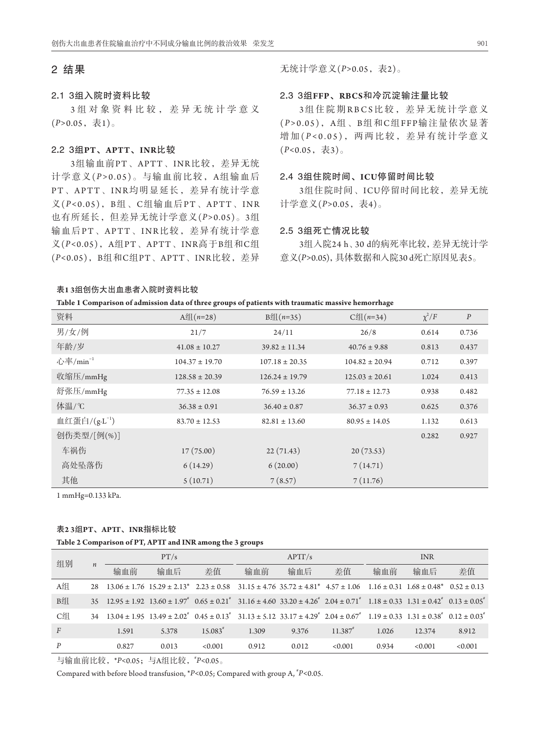## 2结果

## 2**.**13组入院时资料比较

3 组对象资料比较,差异无统计学意义 (*P>*0.05,表1)。

## 2**.**23组**PT**、**APTT**、**INR**比较

3组输血前PT、APTT、INR比较, 差异无统 计学意义(*P >*0.05)。与输血前比较,A组输血后 PT、APTT、INR均明显延长,差异有统计学意 义(P<0.05), B组、C组输血后PT、APTT、INR 也有所延长,但差异无统计学意义(*P>*0.05)。3组 输血后P T、APTT、INR比较,差异有统计学意 义(*P<*0.05),A组PT、APTT、INR高于B组和C组 (*P<*0.05),B组和C组PT、APTT、INR比较,差异 无统计学意义(*P>*0.05,表2)。

### 2**.**33组**FFP**、**RBCS**和冷沉淀输注量比较

3组住院期RBCS比较,差异无统计学意义 (*P >*0.05),A组、B组和C组FFP输注量依次显著 增加(P<0.05), 两两比较, 差异有统计学意义 (*P<*0.05,表3)。

#### 2**.**43组住院时间、**ICU**停留时间比较

3组住院时间、ICU停留时间比较,差异无统 计学意义(*P>*0.05,表4)。

#### 2**.**53组死亡情况比较

3组入院24 h、30 d的病死率比较,差异无统计学 意义(*P>*0.05),具体数据和入院30 d死亡原因见表5。

#### 表**1 3**组创伤大出血患者入院时资料比较

| 资料                       | $A \mathcal{L}(n=28)$ | $B4((n=35))$       | $C4(n=34)$         | $\chi^2/F$ | $\boldsymbol{P}$ |
|--------------------------|-----------------------|--------------------|--------------------|------------|------------------|
| 男/女/例                    | 21/7                  | 24/11              | 26/8               | 0.614      | 0.736            |
| 年龄/岁                     | $41.08 \pm 10.27$     | $39.82 \pm 11.34$  | $40.76 \pm 9.88$   | 0.813      | 0.437            |
| 心率/ $min^{-1}$           | $104.37 \pm 19.70$    | $107.18 \pm 20.35$ | $104.82 \pm 20.94$ | 0.712      | 0.397            |
| 收缩压/mmHg                 | $128.58 \pm 20.39$    | $126.24 \pm 19.79$ | $125.03 \pm 20.61$ | 1.024      | 0.413            |
| 舒张压/mmHg                 | $77.35 \pm 12.08$     | $76.59 \pm 13.26$  | $77.18 \pm 12.73$  | 0.938      | 0.482            |
| 体温/℃                     | $36.38 \pm 0.91$      | $36.40 \pm 0.87$   | $36.37 \pm 0.93$   | 0.625      | 0.376            |
| 血红蛋白/ $(g \cdot L^{-1})$ | $83.70 \pm 12.53$     | $82.81 \pm 13.60$  | $80.95 \pm 14.05$  | 1.132      | 0.613            |
| 创伤类型/[例(%)]              |                       |                    |                    | 0.282      | 0.927            |
| 车祸伤                      | 17(75.00)             | 22(71.43)          | 20(73.53)          |            |                  |
| 高处坠落伤                    | 6(14.29)              | 6(20.00)           | 7(14.71)           |            |                  |
| 其他                       | 5(10.71)              | 7(8.57)            | 7(11.76)           |            |                  |

1 mmHg=0.133 kPa.

## 表**2 3**组**PT**、**APTT**、**INR**指标比较

**Table 2 Comparison of PT, APTT and INR among the 3 groups**

| 组别<br>$\boldsymbol{n}$ |     | PT/s  |                                                                                                                                                                                                                                                    | APTT/s  |       | <b>INR</b> |                       |       |         |         |
|------------------------|-----|-------|----------------------------------------------------------------------------------------------------------------------------------------------------------------------------------------------------------------------------------------------------|---------|-------|------------|-----------------------|-------|---------|---------|
|                        |     | 输血前   | 输血后                                                                                                                                                                                                                                                | 差值      | 输血前   | 输血后        | 差值                    | 输血前   | 输血后     | 差值      |
| A组                     | 2.8 |       | $13.06 \pm 1.76$ $15.29 \pm 2.13^*$ $2.23 \pm 0.58$ $31.15 \pm 4.76$ $35.72 \pm 4.81^*$ $4.57 \pm 1.06$ $1.16 \pm 0.31$ $1.68 \pm 0.48^*$ $0.52 \pm 0.13$                                                                                          |         |       |            |                       |       |         |         |
| B组                     |     |       | $35\quad 12.95 \pm 1.92\quad 13.60 \pm 1.97$ <sup>*</sup> $0.65 \pm 0.21$ <sup>*</sup> $31.16 \pm 4.60\quad 33.20 \pm 4.26$ <sup>*</sup> $2.04 \pm 0.71$ <sup>*</sup> $1.18 \pm 0.33\quad 1.31 \pm 0.42$ <sup>*</sup> $0.13 \pm 0.05$ <sup>*</sup> |         |       |            |                       |       |         |         |
| C组                     | 34  |       | $13.04 \pm 1.95$ $13.49 \pm 2.02^{\circ}$ $0.45 \pm 0.13^{\circ}$ $31.13 \pm 5.12$ $33.17 \pm 4.29^{\circ}$ $2.04 \pm 0.67^{\circ}$ $1.19 \pm 0.33$ $1.31 \pm 0.38^{\circ}$ $0.12 \pm 0.03^{\circ}$                                                |         |       |            |                       |       |         |         |
| $\overline{F}$         |     | 1.591 | 5.378                                                                                                                                                                                                                                              | 15.083  | 1.309 | 9.376      | $11.387$ <sup>*</sup> | 1.026 | 12.374  | 8.912   |
| P                      |     | 0.827 | 0.013                                                                                                                                                                                                                                              | < 0.001 | 0.912 | 0.012      | < 0.001               | 0.934 | < 0.001 | < 0.001 |

与输血前比较, \*P<0.05; 与A组比较, \*P<0.05。

Compared with before blood transfusion, \*P<0.05; Compared with group A, \*P<0.05.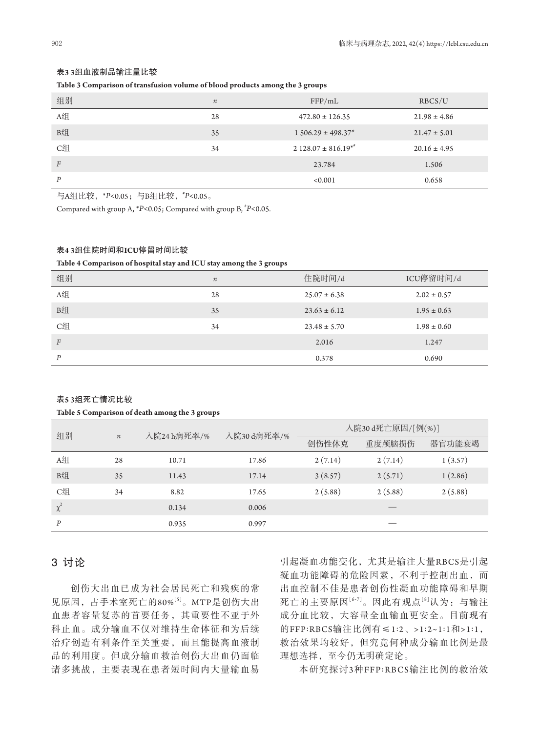| 表3 3组血液制品输注量比较 |
|----------------|
|----------------|

#### **Table 3 Comparison of transfusion volume of blood products among the 3 groups**

|                |                  | $\tilde{\phantom{a}}$<br>$\tilde{}$ |                  |
|----------------|------------------|-------------------------------------|------------------|
| 组别             | $\boldsymbol{n}$ | FFP/mL                              | RBCS/U           |
| A组             | 28               | $472.80 \pm 126.35$                 | $21.98 \pm 4.86$ |
| B组             | 35               | $1506.29 \pm 498.37$ *              | $21.47 \pm 5.01$ |
| C组             | 34               | $2128.07 \pm 816.19^{*}$            | $20.16 \pm 4.95$ |
| $\overline{F}$ |                  | 23.784                              | 1.506            |
| P              |                  | < 0.001                             | 0.658            |

与A组比较,\**P<*0.05;与B组比较,\**P<*0.05。

Compared with group A,  $*P<0.05$ ; Compared with group B,  $*P<0.05$ .

#### 表**4 3**组住院时间和**ICU**停留时间比较

**Table 4 Comparison of hospital stay and ICU stay among the 3 groups**

| 组别               | $\boldsymbol{n}$ | 住院时间/d           | ICU停留时间/d       |
|------------------|------------------|------------------|-----------------|
| A组               | 28               | $25.07 \pm 6.38$ | $2.02 \pm 0.57$ |
| B组               | 35               | $23.63 \pm 6.12$ | $1.95 \pm 0.63$ |
| C组               | 34               | $23.48 \pm 5.70$ | $1.98 \pm 0.60$ |
| $\boldsymbol{F}$ |                  | 2.016            | 1.247           |
| P                |                  | 0.378            | 0.690           |

#### 表**5 3**组死亡情况比较

#### **Table 5 Comparison of death among the 3 groups**

| 组别       |                  | 入院24 h病死率/% | 入院30 d病死率/% | 入院30d死亡原因/[例(%)] |         |         |  |
|----------|------------------|-------------|-------------|------------------|---------|---------|--|
|          | $\boldsymbol{n}$ |             |             | 创伤性休克            | 重度颅脑损伤  | 器官功能衰竭  |  |
| A组       | 28               | 10.71       | 17.86       | 2(7.14)          | 2(7.14) | 1(3.57) |  |
| B组       | 35               | 11.43       | 17.14       | 3(8.57)          | 2(5.71) | 1(2.86) |  |
| C组       | 34               | 8.82        | 17.65       | 2(5.88)          | 2(5.88) | 2(5.88) |  |
| $\chi^2$ |                  | 0.134       | 0.006       |                  |         |         |  |
| P        |                  | 0.935       | 0.997       |                  |         |         |  |

## 3讨论

创伤大出血已成为社会居民死亡和残疾的常 见原因,占手术室死亡的80%[5]。MTP是创伤大出 血患者容量复苏的首要任务,其重要性不亚于外 科止血。成分输血不仅对维持生命体征和为后续 治疗创造有利条件至关重要,而且能提高血液制 品的利用度。但成分输血救治创伤大出血仍面临 诸多挑战,主要表现在患者短时间内大量输血易

引起凝血功能变化,尤其是输注大量RBCS是引起 凝血功能障碍的危险因素,不利于控制出血,而 出血控制不佳是患者创伤性凝血功能障碍和早期 死亡的主要原因[6-7]。因此有观点[8]认为:与输注 成分血比较,大容量全血输血更安全。目前现有 的FFP:RBCS输注比例有≤1:2、>1:2~1:1和>1:1, 救治效果均较好,但究竟何种成分输血比例是最 理想选择,至今仍无明确定论。

本研究探讨3种FFP:RBCS输注比例的救治效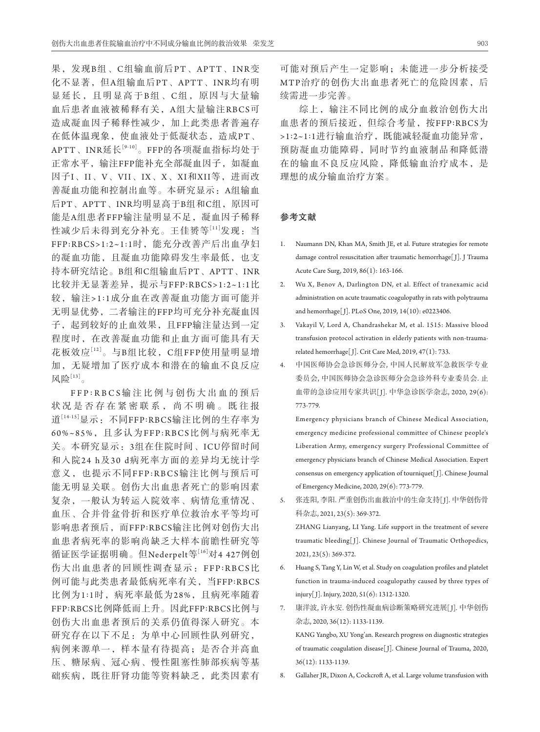果,发现B组、C组输血前后PT、APTT、INR变 化不显著,但A组输血后PT、APTT、INR均有明 显延长,且明显高于B组 、C组,原因与大量输 血后患者血液被稀释有关,A组大量输注RBCS可 造成凝血因子稀释性减少,加上此类患者普遍存 在低体温现象, 使血液处于低凝状态, 造成PT、 APTT、INR延长[9-10]。FFP的各项凝血指标均处于 正常水平,输注FFP能补充全部凝血因子,如凝血 因子I、II、V、VII、IX、X、XI和XII等,进而改 善凝血功能和控制出血等。本研究显示:A组输血 后PT、APTT、INR均明显高于B组和C组,原因可 能是A组患者FFP输注量明显不足,凝血因子稀释 性减少后未得到充分补充。王[佳赟](https://xueshu.baidu.com/s?wd=author:(%E7%8E%8B%E4%BD%B3%E8%B5%9F) &tn=SE_baiduxueshu_c1gjeupa&ie=utf-8&sc_f_para=sc_hilight=person)等[11]发现: 当 FFP:RBCS>1:2~1:1时,能充分改善产后出血孕妇 的凝血功能,且凝血功能障碍发生率最低,也支 持本研究结论。B组和C组输血后PT、APTT、INR 比较并无显著差异,提示与FFP:RBCS>1:2~1:1比 较,输注> 1:1成分血在改善凝血功能方面可能并 无明显优势,二者输注的FFP均可充分补充凝血因 子,起到较好的止血效果,且FFP输注量达到一定 程度时,在改善凝血功能和止血方面可能具有天 花板效应[12]。与B组比较,C组FFP使用量明显增 加,无疑增加了医疗成本和潜在的输血不良反应 风险<sup>[13]</sup>。

FFP : RBCS 输注比例与创伤大出血的预后 状况是否存在紧密联系,尚不明确。既往报 道[14-15]显示:不同FFP:RBCS输注比例的生存率为 60%~85%,且多认为FFP:RBCS比例与病死率无 关。本研究显示:3组在住院时间、ICU停留时间 和入院24 h及30 d病死率方面的差异均无统计学 意义,也提示不同FFP:RBCS输注比例与预后可 能无明显关联。创伤大出血患者死亡的影响因素 复杂,一般认为转运入院效率、病情危重情况、 血压、合并骨盆骨折和医疗单位救治水平等均可 影响患者预后,而FFP:RBCS输注比例对创伤大出 血患者病死率的影响尚缺乏大样本前瞻性研究等 循证医学证据明确。但Nederpelt等[16]对4 427例创 伤大出血患者的回顾性调查显示:FFP:RBCS比 例可能与此类患者最低病死率有关,当FFP:RBCS 比例为1:1时,病死率最低为28%,且病死率随着 FFP:RBCS比例降低而上升。因此FFP:RBCS比例与 创伤大出血患者预后的关系仍值得深入研究。本 研究存在以下不足:为单中心回顾性队列研究, 病例来源单一,样本量有待提高;是否合并高血 压、糖尿病、冠心病、慢性阻塞性肺部疾病等基 础疾病,既往肝肾功能等资料缺乏,此类因素有

可能对预后产生一定影响;未能进一步分析接受 MTP治疗的创伤大出血患者死亡的危险因素,后 续需进一步完善。

综上,输注不同比例的成分血救治创伤大出 血患者的预后接近,但综合考量,按FFP:RBCS为 >1:2~1:1进行输血治疗,既能减轻凝血功能异常, 预防凝血功能障碍,同时节约血液制品和降低潜 在的输血不良反应风险,降低输血治疗成本,是 理想的成分输血治疗方案。

## 参考文献

- 1. Naumann DN, Khan MA, Smith JE, et al. Future strategies for remote damage control resuscitation after traumatic hemorrhage[ J]. J Trauma Acute Care Surg, 2019, 86(1): 163-166.
- 2. Wu X, Benov A, Darlington DN, et al. Effect of tranexamic acid administration on acute traumatic coagulopathy in rats with polytrauma and hemorrhage[ J]. PLoS One, 2019, 14(10): e0223406.
- 3. Vakayil V, Lord A, Chandrashekar M, et al. 1515: Massive blood transfusion protocol activation in elderly patients with non-traumarelated hemorrhage[ J]. Crit Care Med, 2019, 47(1): 733.
- 4. 中国医师协会急诊医师分会, 中国人民解放军急救医学专业 委员会, 中国医师协会急诊医师分会急诊外科专业委员会. 止 血带的急诊应用专家共识[J]. 中华急诊医学杂志, 2020, 29(6): 773-779.

 Emergency physicians branch of Chinese Medical Association, emergency medicine professional committee of Chinese people's Liberation Army, emergency surgery Professional Committee of emergency physicians branch of Chinese Medical Association. Expert consensus on emergency application of tourniquet[J]. Chinese Journal of Emergency Medicine, 2020, 29(6): 773-779.

5. 张连阳, 李阳. 严重创伤出血救治中的生命支持[J]. 中华创伤骨 科杂志, 2021, 23(5): 369-372.

 ZHANG Lianyang, LI Yang. Life support in the treatment of severe traumatic bleeding[ J]. Chinese Journal of Traumatic Orthopedics, 2021, 23(5): 369-372.

- 6. Huang S, Tang Y, Lin W, et al. Study on coagulation profiles and platelet function in trauma-induced coagulopathy caused by three types of injury[ J]. Injury, 2020, 51(6): 1312-1320.
- 7. 康洋波, 许永安. 创伤性凝血病诊断策略研究进展[J]. 中华创伤 杂志, 2020, 36(12): 1133-1139.

 KANG Yangbo, XU Yong'an. Research progress on diagnostic strategies of traumatic coagulation disease[ J]. Chinese Journal of Trauma, 2020, 36(12): 1133-1139.

8. Gallaher JR, Dixon A, Cockcroft A, et al. Large volume transfusion with